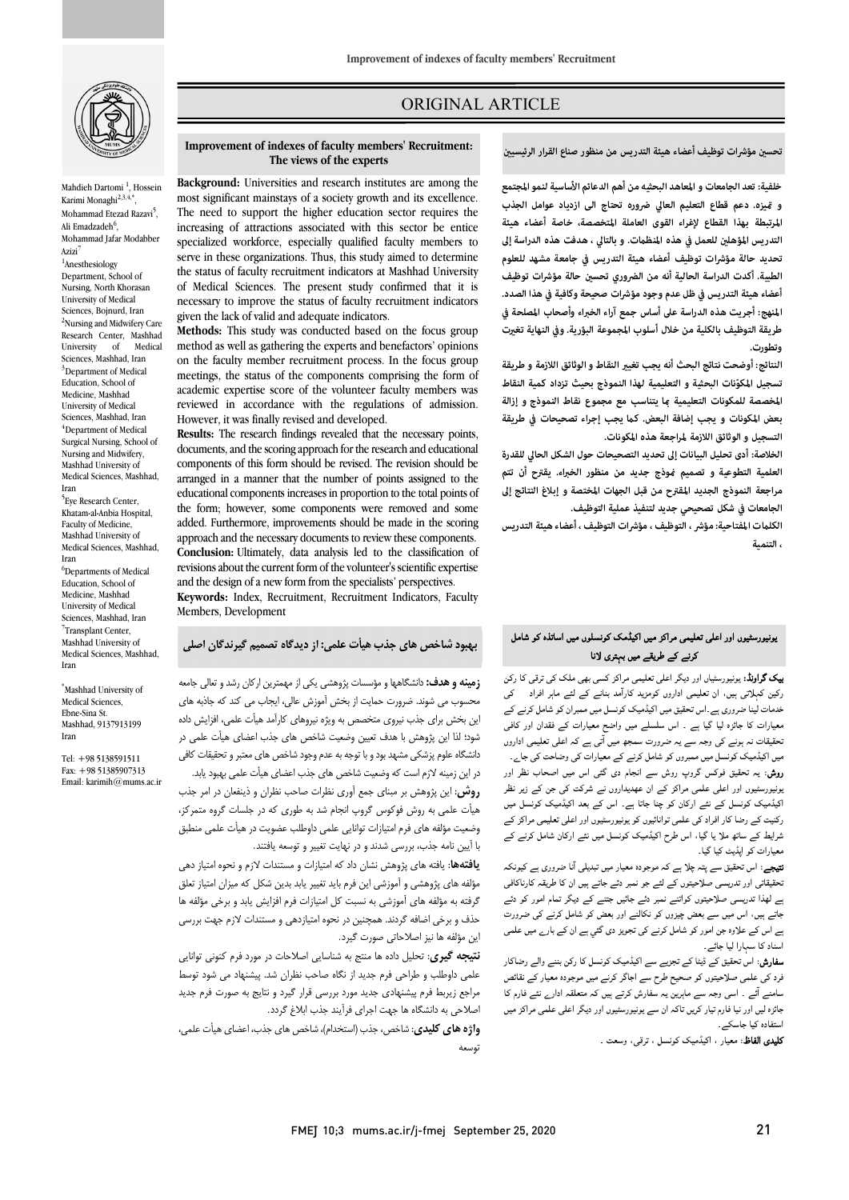

Mahdieh Dartomi<sup>1</sup>, Hossein Karimi Monaghi<sup>2,3,4,\*</sup> Mohammad Etezad Razavi<sup>5</sup>, Ali Emadzadeh<sup>6</sup>, Mohammad Jafar Modabber Azizi

<sup>1</sup>Anesthesiology Department, School of Nursing, North Khorasan University of Medical Sciences, Bojnurd, Iran <sup>2</sup>Nursing and Midwifery Care Research Center, Mashhad<br>University of Medical University Sciences, Mashhad, Iran  $3$ Department of Medical Education, School of Medicine, Mashhad University of Medical Sciences, Mashhad, Iran  $4$ Department of Medical Surgical Nursing, School of Nursing and Midwifery, Mashhad University of Medical Sciences, Mashhad, Iran <sup>5</sup>Eye Research Center,

Khatam-al-Anbia Hospital, Faculty of Medicine, Mashhad University of Medical Sciences, Mashhad, Iran <sup>6</sup>Departments of Medical Education, School of Medicine, Mashhad University of Medical Sciences, Mashhad, Iran <sup>7</sup>Transplant Center, Mashhad University of Medical Sciences, Mashhad, Iran

\*Mashhad University of Medical Sciences, Ebne-Sina St. Mashhad, 9137913199 Iran

Tel: +98 5138591511 Fax: +98 51385907313 Email: karimih@mums.ac.ir

# ORIGINAL ARTICLE

**تحس مؤشرات توظيف أعضاء هيئة التدريس من منظور صناع القرار الرئيسي**

ص

 **Background:** Universities and research institutes are among the most significant mainstays of a society growth and its excellence. The need to support the higher education sector requires the specialized workforce, especially qualified faculty members to serve in these organizations. Thus, this study aimed to determine the status of faculty recruitment indicators at Mashhad University necessary to improve the status of faculty recruitment indicators given the lack of valid and adequate indicators. increasing of attractions associated with this sector be entice of Medical Sciences. The present study confirmed that it is

**Improvement of indexes of faculty members' Recruitment:** 

**The views of the experts**

Ī

 **Methods:** This study was conducted based on the focus group on the faculty member recruitment process. In the focus group meetings, the status of the components comprising the form of reviewed in accordance with the regulations of admission. However, it was finally revised and developed. method as well as gathering the experts and benefactors' opinions academic expertise score of the volunteer faculty members was

 **Results:** The research findings revealed that the necessary points, components of this form should be revised. The revision should be arranged in a manner that the number of points assigned to the the form; however, some components were removed and some added. Furthermore, improvements should be made in the scoring approach and the necessary documents to review these components. revisions about the current form of the volunteer's scientific expertise and the design of a new form from the specialists' perspectives. documents, and the scoring approach for the research and educational educational components increases in proportion to the total points of **Conclusion:** Ultimately, data analysis led to the classification of

 **Keywords:** Index, Recruitment, Recruitment Indicators, Faculty Members, Development

**بهبود شاخص هاي جذب هیأت علمی: از دیدگاه تصمیم گیرندگان اصلی**

 **زمینه و هدف:** دانشگاهها و مؤسسات پژوهشی یکی از مهمترین ارکان رشد و تعالی جامعه محسوب می شوند. ضرورت حمایت از بخش آموزش عالی، ایجاب می کند که جاذبه هاي ین بخش برای جذب نیروی متخصص به ویژه نیروهای کارآمد هیأت علمی، افزایش داده<br>..... د رانشگاه علوم پزرگرفت دانشگاه را با تصافیت می باشد.<br>دانشگاه علوم پزشکی مشهد بود و با توجه به عدم وجود شاخص های معتبر و تحقیقات کافی در این زمینه لازم است که وضعیت شاخص هاي جذب اعضاي هیأت علمی بهبود یابد. **روش**: این پژوهش بر مبناي جمع آوري نظرات صاحب نظران و ذینفعان در امر جذب هیأت علمی به روش فوکوس گروپ انجام شد به طوري که در جلسات گروه متمرکز، وضعیت مؤلفه هاي فرم امتیازات توانایی علمی داوطلب عضویت در هیأت علمی منطبق با آیین نامه جذب، بررسی شدند و در نهایت تغییر و توسعه یافتند. شود؛ لذا این پژوهش با هدف تعیین وضعیت شاخص هاي جذب اعضاي هیأت علمی در

 **یافتهها**: یافته هاي پژوهش نشان داد که امتیازات و مستندات لازم و نحوه امتیاز دهی موت مدی پروسسی و مورسی بین عرم باید میپیر به بدین سامل به میزان مسیر مسی<br>گرفته به مؤلفه های آموزشی به نسبت کل امتیازات فرم افزایش یابد و برخی مؤلفه ها حذف و برخی اضافه گردند. همچنین در نحوه امتیازدهی و مستندات لازم جهت بررسی این مؤلفه ها نیز اصلاحاتی صورت گیرد. مؤلفه هاي پژوهشی و آموزشی این فرم باید تغییر یابد بدین شکل که میزان امتیاز تعلق

 **نتیجه گیري**: تحلیل داده ها منتج به شناسایی اصلاحات در مورد فرم کنونی توانایی علمی داوطلب و طراحی فرم جدید از نگاه صاحب نظران شد. پیشنهاد می شود توسط مراجع زیربط فرم پیشنهادي جدید مورد بررسی قرار گیرد و نتایج به صورت فرم جدید اصلاحی به دانشگاه ها جهت اجراي فرآیند جذب ابلاغ گردد.

 **واژه هاي کلیدي**: شاخص، جذب (استخدام)، شاخص هاي جذب، اعضاي هیأت علمی، توسعه

 **خلفية: تعد الجامعات و المعاهد البحثیه من أهم الدعائم الأساسية لنمو المجتمع المرتبطة بهذا القطاع لإغراء القوى العاملة المتخصصة، خاصة أعضاء هيئة التدريس المؤهل للعمل في هذه المنظت. و بالتالي ، هدفت هذه الدراسة إلى تحديد حالة مؤشرات توظيف أعضاء هيئة التدريس في جامعة مشهد للعلوم الطبية. أكدت الدراسة الحالية أنه من الضروري تحس حالة مؤشرات توظيف أعضاء هيئة التدريس في ظل عدم وجود مؤشرات صحيحة وكافية في هذا الصدد. المنهج: أجريت هذه الدراسة على أساس جمع آراء الخبراء وأصحاب المصلحة في طريقة التوظيف بالكلية من خلال أسلوب المجموعة البؤرية. وفي النهاية تغت و يزه. دعم قطاع التعليم العالي ضروره تحتاج الی ازدیاد عوامل الجذب وتطورت.** 

 **النتائج: أوضحت نتائج البحث أنه يجب تغي النقاط و الوثائق اللازمة و طريقة ّ تسجيل المكونات البحثية و التعليمية لهذا النموذج بحيث تزداد كمية النقاط**  المخصصة للمكونات التعليمية <sub>ك</sub>ا يتناسب مع مجموع نقاط النموذج و إزالة **بعض المكونات و يجب إضافة البعض. ك يجب إجراء تصحيحات في طريقة التسجيل و الوثائق اللازمة لمراجعة هذه المكونات.** 

 **الخلاصة: أدى تحليل البيانات إلى تحديد التصحيحات حول الشكل الحالي للقدرة العلمية التطوعية و تصميم وذج جديد من منظور الخبراء. يقترح أن تتم الجامعات في شكل تصحيحي جديد لتنفيذ عملية التوظيف. مراجعة النموذج الجديد المقتر ح من قبل الجهات المختصة و إبلاغ النتائج إلى** 

 **الكلت المفتاحية: مؤشر ، التوظيف ، مؤشرات التوظيف ، أعضاء هيئة التدريس ، التنمية**

## بونیورسٹیوں اور اعلی تعلیمی مراکز میں اکیڈمک کونسلوں میں اساتذہ کو شامل<br>۔ کرنے کے طریقے میں بہتری لانا

یپت سرویہ، پولیوریسیں ارز نیسر اسٹی سیسی ارائز نسبی بھی ادا نے سی سی اسٹی کرتے ہے۔<br>رکین کہلاتی ہیں، ان تعلیمی اداروں کومزید کارآمد بنانے کے لئے ماہر افراد ہے خدمات لینا ضروری ہے ۔اس تحقیق میں اکیڈمیک کونسل میں ممبران کو شامل کرنے کے معیارات کا جائزہ لیا گیا ہے ۔ اس سلسلے میں واضح معیارات کے فقدان اور کافی معیشات نہ ہوتے ہی وجہ سے یہ صرورت سمجھ میں آئی ہے تم اُنھی تعلیمی آباروں<br>میں اکیڈمیک کونسل میں ممبروں کو شامل کرنے کے معیارات کی وضاحت کی جائے۔ روش: یہ تحقیق فوکس گروپ روش سے انجام دی گئی اس میں اصحاب نظر اور بونیورسٹیوں اور اعلی علمی مراکز کے ان عهدیداروں نے شرکت کی جن کے زیر نظر اکیڈمیک کونسل کے نئے ارکان کو چنا جاتا ہے۔ اس کے بعد اکیڈمیک کونسل میں<br>۔ ا ، اس ح ا ارن معیارات کو اپڈیٹ کیا گیا۔ **ییک گراونڈ:** یونیورسٹیاں اور دیگر اعلی تعلیمی مراکز کسی بھی ملک کی ترقی کا رکن نحقیقات نہ ہونے کی وجہ سے یہ ضرورت سمجھ میں اُتی ہے کہ اعلی تعلیمی اداروں رکنیت کے رضا کار افراد کی علمی توانائیوں کو یونیورسٹیوں اور اعلی تعلیمی مراکز کے

**تیجے**: اس تحقیق سے پتہ چلا ہے کہ موجودہ معیار میں تبدیلی آنا ضروری ہے کیونکہ ۔ ۔ بی زرد کی ای عامل کی اس کے اس کا اس کا اس کا اس کا اس کا اس کا اس کا اس کا اس کا اس کا اس کا اس کا اس کا ا<br>بے لھذا تدریسی صلاحیتوں کواتنے نمبر دئے جائیں جتنے کے دیگر تمام امور کو دئے جاتے ہیں، اس میں سے بعض چیزوں کو نکالنے اور بعض کو شامل کرنے کی ضرورت ے اس کے علاوہ جن امور کو شامل کرنے کی تجویز دی گئي ہے ان کے بارے میں علمی تحقیقاتی اور تدریسی صلاحیتوں کے لئے جو نمبر دئے جاتے ہیں ان کا طریقہ کارناکافی اسناد کا سہارا لیا جائے۔

سد تا سہرہ ہیا جائے۔<br>**سفارش:** اس تحقیق کے ڈیٹا کے تجزیے سے اکیڈمیک کونسل کا رکن بننے والے رضاکار <sub>فرد کی</sub> علمی صلاحیتوں کو صحیح طرح سے اجاگر کرنے میں موجودہ معیار کے نقائص سامنے آئے ۔ اسی وجہ سے ماہرین یہ سفارش کرتے ہیں کہ متعلقہ ادارے نئے فارم کا ہائزہ لیں اور نیا فارم تیار کریں تاکہ ان سے یونیورسٹیوں اور دیگر اعلی علمی مراکز میں<br>مطالعات میں مسلمان استفادہ کیا جاسکے۔

۔<br>**کلیدی الفاظ**: معیار ، اکیڈمیک کونسل ، ترقی، وسعت ۔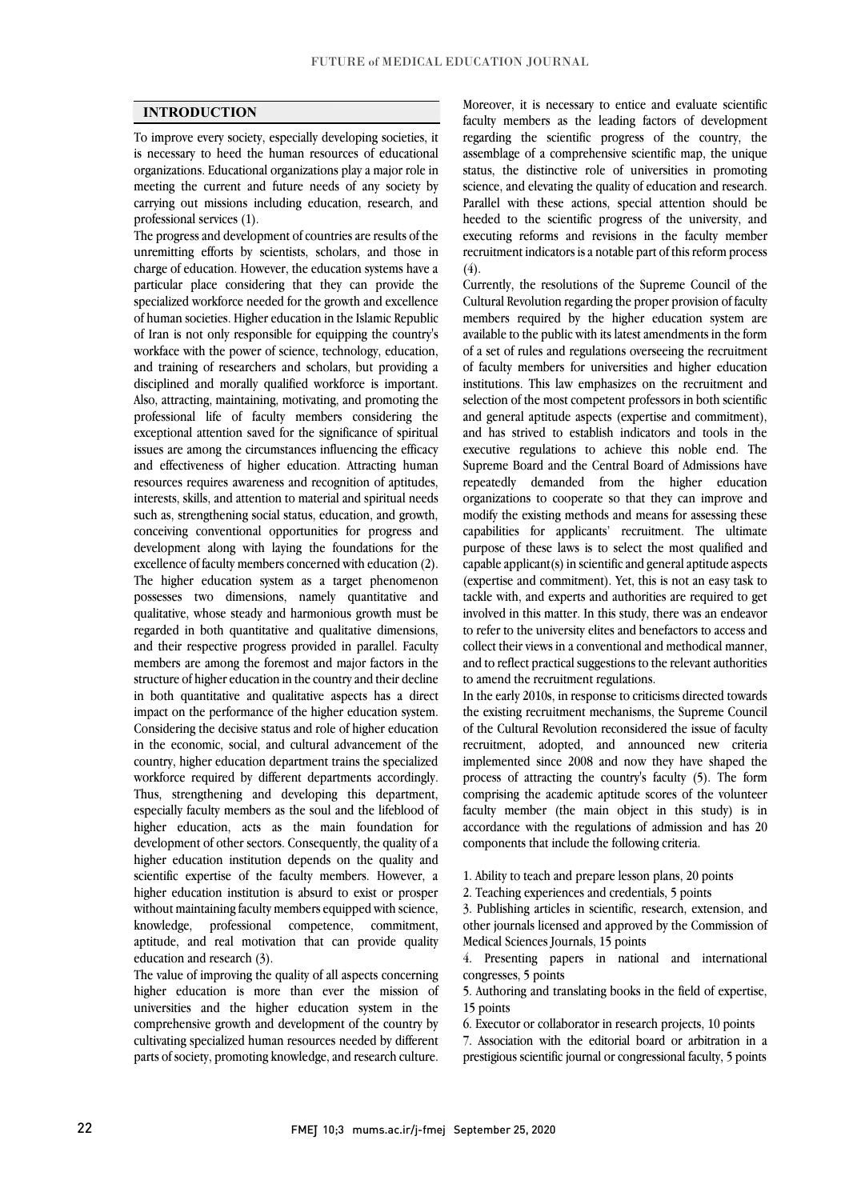## **INTRODUCTION**

 To improve every society, especially developing societies, it is necessary to heed the human resources of educational organizations. Educational organizations play a major role in meeting the current and future needs of any society by carrying out missions including education, research, and<br>professional services (1) professional services (1).

 The progress and development of countries are results of the unremitting efforts by scientists, scholars, and those in charge of education. However, the education systems have a specialized workforce needed for the growth and excellence of human societies. Higher education in the Islamic Republic of Iran is not only responsible for equipping the country's workface with the power of science, technology, education, disciplined and morally qualified workforce is important. Also, attracting, maintaining, motivating, and promoting the professional life of faculty members considering the issues are among the circumstances influencing the efficacy and effectiveness of higher education. Attracting human resources requires awareness and recognition of aptitudes, interests, skills, and attention to material and spiritual needs such as, strengthening social status, education, and growth, development along with laying the foundations for the excellence of faculty members concerned with education (2). The higher education system as a target phenomenon qualitative, whose steady and harmonious growth must be regarded in both quantitative and qualitative dimensions, and their respective progress provided in parallel. Faculty members are among the foremost and major factors in the in both quantitative and qualitative aspects has a direct impact on the performance of the higher education system. Considering the decisive status and role of higher education in the economic, social, and cultural advancement of the country, higher education department trains the specialized Thus, strengthening and developing this department, especially faculty members as the soul and the lifeblood of higher education, acts as the main foundation for higher education institution depends on the quality and scientific expertise of the faculty members. However, a higher education institution is absurd to exist or prosper without maintaining faculty members equipped with science, knowledge, professional competence, commitment, particular place considering that they can provide the and training of researchers and scholars, but providing a exceptional attention saved for the significance of spiritual conceiving conventional opportunities for progress and possesses two dimensions, namely quantitative and structure of higher education in the country and their decline workforce required by different departments accordingly. development of other sectors. Consequently, the quality of a aptitude, and real motivation that can provide quality education and research (3).

 The value of improving the quality of all aspects concerning higher education is more than ever the mission of comprehensive growth and development of the country by cultivating specialized human resources needed by different parts of society, promoting knowledge, and research culture. universities and the higher education system in the

 Moreover, it is necessary to entice and evaluate scientific regarding the scientific progress of the country, the assemblage of a comprehensive scientific map, the unique status, the distinctive role of universities in promoting Parallel with these actions, special attention should be executing reforms and revisions in the faculty member recruitment indicators is a notable part of this reform process faculty members as the leading factors of development science, and elevating the quality of education and research. heeded to the scientific progress of the university, and  $(4).$ 

 Currently, the resolutions of the Supreme Council of the members required by the higher education system are available to the public with its latest amendments in the form of a set of rules and regulations overseeing the recruitment of faculty members for universities and higher education selection of the most competent professors in both scientific and general aptitude aspects (expertise and commitment), and has strived to establish indicators and tools in the Supreme Board and the Central Board of Admissions have repeatedly demanded from the higher education organizations to cooperate so that they can improve and modify the existing methods and means for assessing these purpose of these laws is to select the most qualified and capable applicant(s) in scientific and general aptitude aspects (expertise and commitment). Yet, this is not an easy task to tackle with, and experts and authorities are required to get to refer to the university elites and benefactors to access and collect their views in a conventional and methodical manner, and to reflect practical suggestions to the relevant authorities Cultural Revolution regarding the proper provision of faculty institutions. This law emphasizes on the recruitment and executive regulations to achieve this noble end. The capabilities for applicants' recruitment. The ultimate involved in this matter. In this study, there was an endeavor to amend the recruitment regulations.

the existing recruitment mechanisms, the Supreme Council of the Cultural Revolution reconsidered the issue of faculty recruitment, adopted, and announced new criteria implemented since 2008 and now they have shaped the  $\frac{1}{2}$  comprising the academic aptitude scores of the volunteer faculty member (the main object in this study) is in accordance with the regulations of admission and has 20 In the early 2010s, in response to criticisms directed towards process of attracting the country's faculty (5). The form components that include the following criteria.

1. Ability to teach and prepare lesson plans, 20 points

2. Teaching experiences and credentials, 5 points

 3. Publishing articles in scientific, research, extension, and other journals licensed and approved by the Commission of Medical Sciences Journals, 15 points

 4. Presenting papers in national and international congresses, 5 points

 5. Authoring and translating books in the field of expertise, 15 points

6. Executor or collaborator in research projects, 10 points

 7. Association with the editorial board or arbitration in a prestigious scientific journal or congressional faculty, 5 points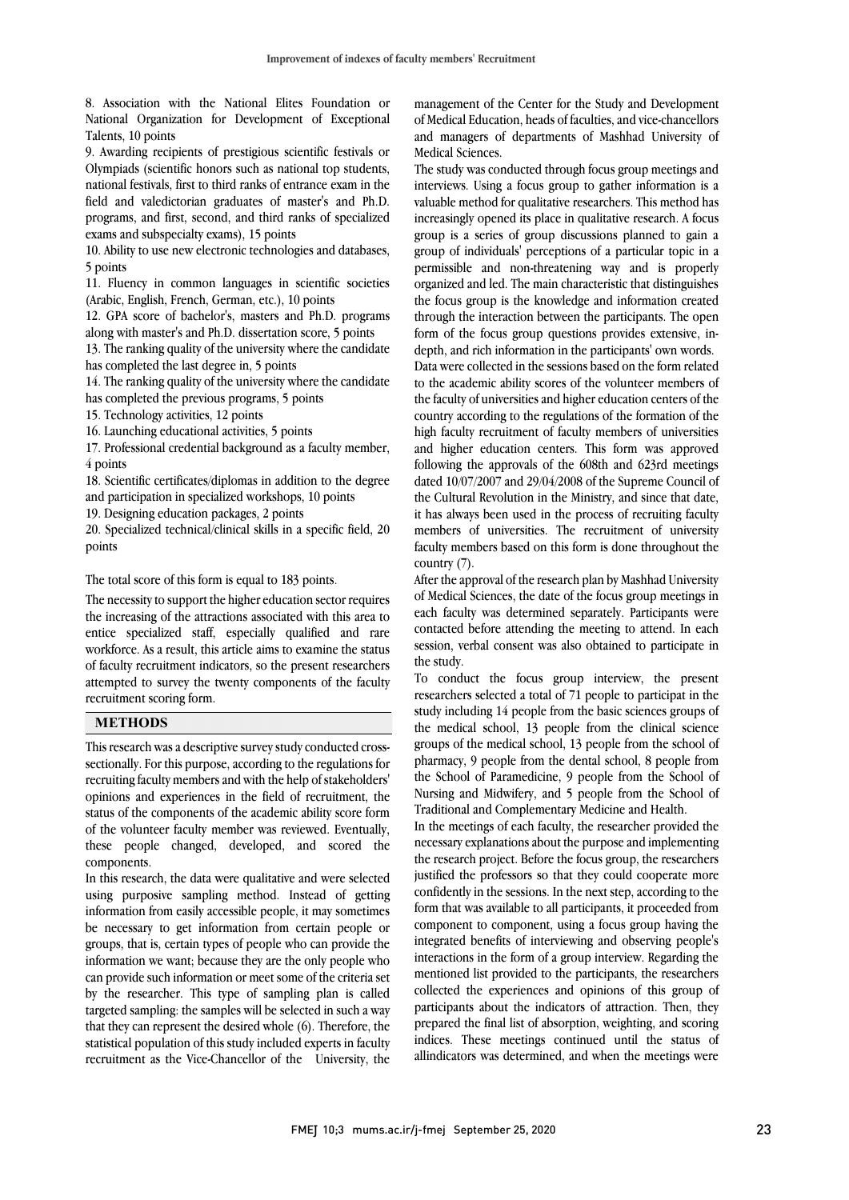National Organization for Development of Exceptional 8. Association with the National Elites Foundation or Talents, 10 points

 9. Awarding recipients of prestigious scientific festivals or Olympiads (scientific honors such as national top students, field and valedictorian graduates of master's and Ph.D. programs, and first, second, and third ranks of specialized national festivals, first to third ranks of entrance exam in the exams and subspecialty exams), 15 points

 10. Ability to use new electronic technologies and databases, 5 points

 11. Fluency in common languages in scientific societies (Arabic, English, French, German, etc.), 10 points

 12. GPA score of bachelor's, masters and Ph.D. programs along with master's and Ph.D. dissertation score, 5 points

13. The ranking quality of the university where the candidate  $\frac{1}{2}$ has completed the last degree in, 5 points

14. The ranking quality of the university where the candidate

has completed the previous programs, 5 points

15. Technology activities, 12 points

16. Launching educational activities, 5 points

 17. Professional credential background as a faculty member, 4 points

 18. Scientific certificates/diplomas in addition to the degree and participation in specialized workshops, 10 points

19. Designing education packages, 2 points

 20. Specialized technical/clinical skills in a specific field, 20 points

The total score of this form is equal to 183 points.

 The necessity to support the higher education sector requires entice specialized staff, especially qualified and rare workforce. As a result, this article aims to examine the status of faculty recruitment indicators, so the present researchers attempted to survey the twenty components of the faculty  $\overline{a}$ the increasing of the attractions associated with this area to recruitment scoring form.

# **METHODS**

 This research was a descriptive survey study conducted cross- sectionally. For this purpose, according to the regulations for opinions and experiences in the field of recruitment, the status of the components of the academic ability score form of the volunteer faculty member was reviewed. Eventually, these people changed, developed, and scored the recruiting faculty members and with the help of stakeholders' components.

 In this research, the data were qualitative and were selected using purposive sampling method. Instead of getting information from easily accessible people, it may sometimes be necessary to get information from certain people or information we want; because they are the only people who can provide such information or meet some of the criteria set by the researcher. This type of sampling plan is called targeted sampling: the samples will be selected in such a way statistical population of this study included experts in faculty recruitment as the Vice-Chancellor of the University, the groups, that is, certain types of people who can provide the that they can represent the desired whole (6). Therefore, the

 of Medical Education, heads of faculties, and vice-chancellors and managers of departments of Mashhad University of management of the Center for the Study and Development Medical Sciences.

 The study was conducted through focus group meetings and method was using a locus group to gainer information is a valuable method for qualitative researchers. This method has increasingly opened its place in qualitative research. A focus group is a series of group discussions planned to gain a group of individuals' perceptions of a particular topic in a organized and led. The main characteristic that distinguishes the focus group is the knowledge and information created through the interaction between the participants. The open form of the focus group questions provides extensive, in- Data were collected in the sessions based on the form related to the academic ability scores of the volunteer members of the faculty of universities and higher education centers of the country according to the regulations of the formation of the and higher education centers. This form was approved following the approvals of the 608th and 623rd meetings dated 10/07/2007 and 29/04/2008 of the Supreme Council of the Cultural Revolution in the Ministry, and since that date, members of universities. The recruitment of university faculty members based on this form is done throughout the interviews. Using a focus group to gather information is a permissible and non-threatening way and is properly depth, and rich information in the participants' own words. high faculty recruitment of faculty members of universities it has always been used in the process of recruiting faculty country (7).

 After the approval of the research plan by Mashhad University each faculty was determined separately. Participants were contacted before attending the meeting to attend. In each session, verbal consent was also obtained to participate in of Medical Sciences, the date of the focus group meetings in the study.

 researchers selected a total of 71 people to participat in the study including 14 people from the basic sciences groups of the medical school, 13 people from the clinical science groups of the medical school, 13 people from the school of the School of Paramedicine, 9 people from the School of Nursing and Midwifery, and 5 people from the School of To conduct the focus group interview, the present pharmacy, 9 people from the dental school, 8 people from Traditional and Complementary Medicine and Health.

 In the meetings of each faculty, the researcher provided the the research project. Before the focus group, the researchers justified the professors so that they could cooperate more confidently in the sessions. In the next step, according to the form that was available to all participants, it proceeded from integrated benefits of interviewing and observing people's interactions in the form of a group interview. Regarding the mentioned list provided to the participants, the researchers collected the experiences and opinions of this group of participation about the indicators of attraction. Then, they prepared the final list of absorption, weighting, and scoring indices. These meetings continued until the status of allindicators was determined, and when the meetings were necessary explanations about the purpose and implementing component to component, using a focus group having the participants about the indicators of attraction. Then, they

l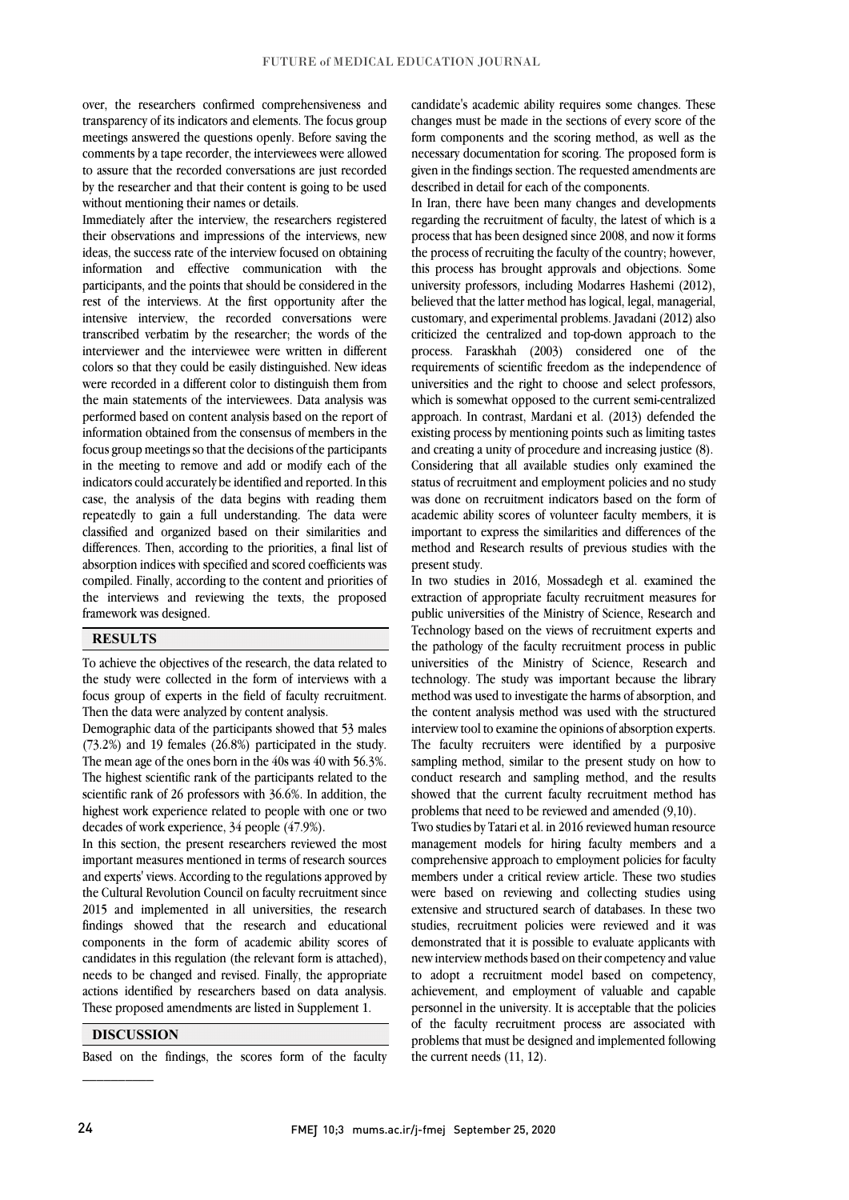over, the researchers confirmed comprehensiveness and transparency of its indicators and elements. The focus group meetings answered the questions openly. Before saving the comments by a tape recorder, the interviewees were allowed to assure that the recorded conversations are just recorded by the researcher and that their content is going to be used without mentioning their names or details.

Immediately after the interview, the researchers registered their observations and impressions of the interviews, new ideas, the success rate of the interview focused on obtaining information and effective communication with the participants, and the points that should be considered in the rest of the interviews. At the first opportunity after the intensive interview, the recorded conversations were transcribed verbatim by the researcher; the words of the interviewer and the interviewee were written in different colors so that they could be easily distinguished. New ideas were recorded in a different color to distinguish them from the main statements of the interviewees. Data analysis was performed based on content analysis based on the report of information obtained from the consensus of members in the focus group meetings so that the decisions of the participants in the meeting to remove and add or modify each of the indicators could accurately be identified and reported. In this case, the analysis of the data begins with reading them repeatedly to gain a full understanding. The data were classified and organized based on their similarities and differences. Then, according to the priorities, a final list of absorption indices with specified and scored coefficients was compiled. Finally, according to the content and priorities of the interviews and reviewing the texts, the proposed framework was designed.

# **RESULTS**

To achieve the objectives of the research, the data related to the study were collected in the form of interviews with a focus group of experts in the field of faculty recruitment. Then the data were analyzed by content analysis.

Demographic data of the participants showed that 53 males (73.2%) and 19 females (26.8%) participated in the study. The mean age of the ones born in the 40s was 40 with 56.3%. The highest scientific rank of the participants related to the scientific rank of 26 professors with 36.6%. In addition, the highest work experience related to people with one or two decades of work experience, 34 people (47.9%).

In this section, the present researchers reviewed the most important measures mentioned in terms of research sources and experts' views. According to the regulations approved by the Cultural Revolution Council on faculty recruitment since 2015 and implemented in all universities, the research findings showed that the research and educational components in the form of academic ability scores of candidates in this regulation (the relevant form is attached), needs to be changed and revised. Finally, the appropriate actions identified by researchers based on data analysis. These proposed amendments are listed in Supplement 1.

### **DISCUSSION**

 $\frac{1}{2}$ 

Based on the findings, the scores form of the faculty

canduate s academic ability requires some changes. These changes must be made in the sections of every score of the form components and the scoring method, as well as the necessary documentation for scoring. The proposed form is given in the findings section. The requested amendments are described in detail for each of the components. candidate's academic ability requires some changes. These

regarding the recruitment of faculty, the latest of which is a process that has been designed since 2008, and now it forms the process of recruiting the faculty of the country; however, this process has brought approvals and objections. Some believed that the latter method has logical, legal, managerial, customary, and experimental problems. Javadani (2012) also criticized the centralized and top-down approach to the process. Faraskhah (2003) considered one of the universities and the right to choose and select professors, which is somewhat opposed to the current semi-centralized approach. In contrast, Mardani et al. (2013) defended the and creating a unity of procedure and increasing justice (8). Considering that all available studies only examined the status of recruitment and employment policies and no study was done on recruitment indicators based on the form of academic ability scores of volunteer faculty members, it is method and Research results of previous studies with the present study. In Iran, there have been many changes and developments university professors, including Modarres Hashemi (2012), requirements of scientific freedom as the independence of existing process by mentioning points such as limiting tastes important to express the similarities and differences of the

 In two studies in 2016, Mossadegh et al. examined the extraction of appropriate faculty recruitment measures for Technology based on the views of recruitment experts and the pathology of the faculty recruitment process in public universities of the Ministry of Science, Research and method was used to investigate the harms of absorption, and the content analysis method was used with the structured interview tool to examine the opinions of absorption experts. The faculty recruiters were identified by a purposive sampling included, similar to the present study on how to<br>conduct research and sampling method, and the results showed that the current faculty recruitment method has problems that need to be reviewed and amended (9,10). public universities of the Ministry of Science, Research and technology. The study was important because the library sampling method, similar to the present study on how to

 Two studies by Tatari et al. in 2016 reviewed human resource members under a critical review article. These two studies were based on reviewing and collecting studies using extensive and structured search of databases. In these two demonstrated that it is possible to evaluate applicants with new interviewmethods based on their competency and value to adopt a recruitment model based on competency, management models for hiring faculty members and a comprehensive approach to employment policies for faculty studies, recruitment policies were reviewed and it was achievement, and employment of valuable and capable personnel in the university. It is acceptable that the policies of the faculty recruitment process are associated with problems that must be designed and implemented following the current needs (11, 12).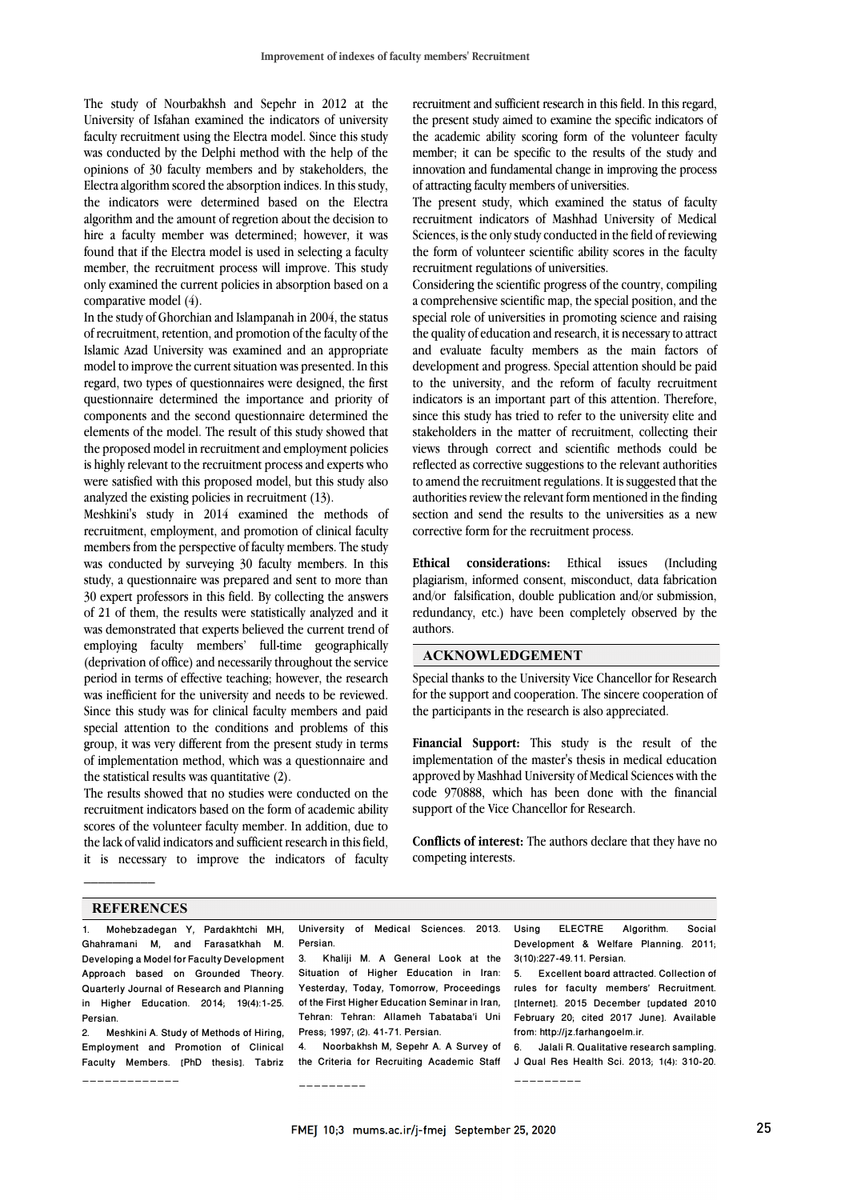The study of Nourbakhsh and Sepehr in 2012 at the University of Isfahan examined the indicators of university faculty recruitment using the Electra model. Since this study was conducted by the Delphi method with the help of the opinions of 30 faculty members and by stakeholders, the Electra algorithm scored the absorption indices. In this study, the indicators were determined based on the Electra algorithm and the amount of regretion about the decision to hire a faculty member was determined; however, it was found that if the Electra model is used in selecting a faculty member, the recruitment process will improve. This study only examined the current policies in absorption based on a comparative model (4).

In the study of Ghorchian and Islampanah in 2004, the status of recruitment, retention, and promotion of the faculty of the Islamic Azad University was examined and an appropriate model to improve the current situation was presented. In this regard, two types of questionnaires were designed, the first questionnaire determined the importance and priority of components and the second questionnaire determined the elements of the model. The result of this study showed that the proposed model in recruitment and employment policies is highly relevant to the recruitment process and experts who were satisfied with this proposed model, but this study also analyzed the existing policies in recruitment (13).

Meshkini's study in 2014 examined the methods of recruitment, employment, and promotion of clinical faculty members from the perspective of faculty members. The study was conducted by surveying 30 faculty members. In this study, a questionnaire was prepared and sent to more than 30 expert professors in this field. By collecting the answers of 21 of them, the results were statistically analyzed and it was demonstrated that experts believed the current trend of employing faculty members' full-time geographically (deprivation of office) and necessarily throughout the service period in terms of effective teaching; however, the research was inefficient for the university and needs to be reviewed. Since this study was for clinical faculty members and paid special attention to the conditions and problems of this group, it was very different from the present study in terms of implementation method, which was a questionnaire and the statistical results was quantitative (2).

The results showed that no studies were conducted on the recruitment indicators based on the form of academic ability scores of the volunteer faculty member. In addition, due to the lack of valid indicators and sufficient research in this field, it is necessary to improve the indicators of faculty recruitment and sufficient research in this field. In this regard, the present study aimed to examine the specific indicators of the academic ability scoring form of the volunteer faculty member; it can be specific to the results of the study and innovation and fundamental change in improving the process of attracting faculty members of universities.

The present study, which examined the status of faculty recruitment indicators of Mashhad University of Medical Sciences, is the only study conducted in the field of reviewing the form of volunteer scientific ability scores in the faculty recruitment regulations of universities.

Considering the scientific progress of the country, compiling a comprehensive scientific map, the special position, and the special role of universities in promoting science and raising the quality of education and research, it is necessary to attract and evaluate faculty members as the main factors of development and progress. Special attention should be paid to the university, and the reform of faculty recruitment indicators is an important part of this attention. Therefore, since this study has tried to refer to the university elite and stakeholders in the matter of recruitment, collecting their views through correct and scientific methods could be reflected as corrective suggestions to the relevant authorities to amend the recruitment regulations. It is suggested that the authorities review the relevant form mentioned in the finding section and send the results to the universities as a new corrective form for the recruitment process.

**Ethical considerations:** Ethical issues (Including plagiarism, informed consent, misconduct, data fabrication and/or falsification, double publication and/or submission, redundancy, etc.) have been completely observed by the authors.

### **ACKNOWLEDGEMENT**

Special thanks to the University Vice Chancellor for Research for the support and cooperation. The sincere cooperation of the participants in the research is also appreciated.

**Financial Support:** This study is the result of the implementation of the master's thesis in medical education approved by Mashhad University of Medical Sciences with the code 970888, which has been done with the financial support of the Vice Chancellor for Research.

**Conflicts of interest:** The authors declare that they have no competing interests.

#### **REFERENCES**

\_\_\_\_\_\_\_\_\_\_\_\_\_

 $\mathcal{L}$  and  $\mathcal{L}$ 

1. Mohebzadegan Y, Pardakhtchi MH, Ghahramani M, and Farasatkhah M. Developing a Model for Faculty Development Approach based on Grounded Theory. Quarterly Journal of Research and Planning in Higher Education. 2014; 19(4):1-25. Persian.

2. Meshkini A. Study of Methods of Hiring, Employment and Promotion of Clinical Faculty Members. [PhD thesis]. Tabriz University of Medical Sciences. 2013. Persian.

3. Khaliji M. A General Look at the Situation of Higher Education in Iran: Yesterday, Today, Tomorrow, Proceedings of the First Higher Education Seminar in Iran, Tehran: Tehran: Allameh Tabataba'i Uni Press; 1997; (2). 41-71. Persian.

4. Noorbakhsh M, Sepehr A. A Survey of the Criteria for Recruiting Academic Staff

\_\_\_\_\_\_\_\_\_

Using ELECTRE Algorithm. Social Development & Welfare Planning. 2011; 3(10):227-49.11. Persian.

5. Excellent board attracted. Collection of rules for faculty members' Recruitment. [Internet]. 2015 December [updated 2010 February 20; cited 2017 June]. Available from: http://jz.farhangoelm.ir.

6. Jalali R. Qualitative research sampling. J Qual Res Health Sci. 2013; 1(4): 310-20. \_\_\_\_\_\_\_\_\_

FMEJ 10;3 mums.ac.ir/j-fmej September 25, 2020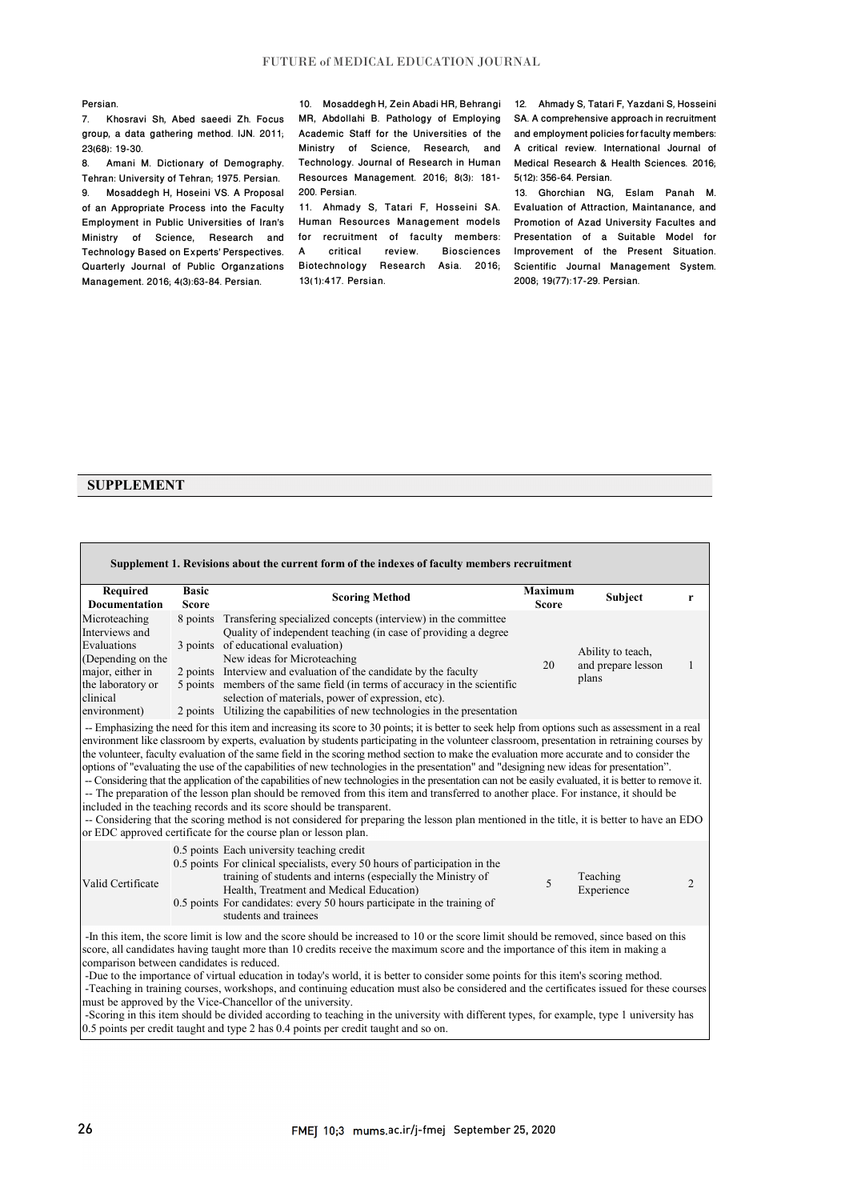#### Persian.

7. Khosravi Sh, Abed saeedi Zh. Focus group, a data gathering method. IJN. 2011; 23(68): 19-30.

8. Amani M. Dictionary of Demography. Tehran: University of Tehran; 1975. Persian. 9. Mosaddegh H, Hoseini VS. A Proposal of an Appropriate Process into the Faculty Employment in Public Universities of Iran's Ministry of Science, Research and Technology Based on Experts' Perspectives. Quarterly Journal of Public Organzations Management. 2016; 4(3):63-84. Persian.

10. Mosaddegh H, Zein Abadi HR, Behrangi 12. Ahmady S, Tatari F, Yazdani S, Hosseini MR, Abdollahi B. Pathology of Employing Resources Management. 2016; 8(3): 181- 200. Persian.

Human Resources Management models Promotion of Azad University Facultes and for recruitment of faculty members:<br>A critical review. Biosciences A critical review. Biosciences Biotechnology Research Asia. 2016; Scientific Journal Management System. 13(1):417. Persian.

Academic Staff for the Universities of the and employment policies for faculty members: Ministry of Science, Research, and A critical review. International Journal of Technology. Journal of Research in Human Medical Research & Health Sciences. 2016; SA. A comprehensive approach in recruitment 5(12): 356-64. Persian.

11. Ahmady S, Tatari F, Hosseini SA. Evaluation of Attraction, Maintanance, and 13. Ghorchian NG, Eslam Panah M. Presentation of a Suitable Model for Improvement of the Present Situation. 2008; 19(77):17-29. Persian.

## **SUPPLEMENT**

| Supplement 1. Revisions about the current form of the indexes of faculty members recruitment                                             |                              |                                                                                                                                                                                                                                                                                                                                                                                                                                                                                                                                                                                                                                                                                                                                                                                                                                                                                                                                                                                                                                                                                                                                                                                        |                                |                                                  |   |  |  |
|------------------------------------------------------------------------------------------------------------------------------------------|------------------------------|----------------------------------------------------------------------------------------------------------------------------------------------------------------------------------------------------------------------------------------------------------------------------------------------------------------------------------------------------------------------------------------------------------------------------------------------------------------------------------------------------------------------------------------------------------------------------------------------------------------------------------------------------------------------------------------------------------------------------------------------------------------------------------------------------------------------------------------------------------------------------------------------------------------------------------------------------------------------------------------------------------------------------------------------------------------------------------------------------------------------------------------------------------------------------------------|--------------------------------|--------------------------------------------------|---|--|--|
| Required<br><b>Documentation</b>                                                                                                         | <b>Basic</b><br><b>Score</b> | <b>Scoring Method</b>                                                                                                                                                                                                                                                                                                                                                                                                                                                                                                                                                                                                                                                                                                                                                                                                                                                                                                                                                                                                                                                                                                                                                                  | <b>Maximum</b><br><b>Score</b> | <b>Subject</b>                                   | r |  |  |
| Microteaching<br>Interviews and<br>Evaluations<br>(Depending on the<br>major, either in<br>the laboratory or<br>clinical<br>environment) | 8 points                     | Transfering specialized concepts (interview) in the committee<br>Quality of independent teaching (in case of providing a degree<br>3 points of educational evaluation)<br>New ideas for Microteaching<br>2 points Interview and evaluation of the candidate by the faculty<br>5 points members of the same field (in terms of accuracy in the scientific<br>selection of materials, power of expression, etc).<br>2 points Utilizing the capabilities of new technologies in the presentation                                                                                                                                                                                                                                                                                                                                                                                                                                                                                                                                                                                                                                                                                          | 20                             | Ability to teach,<br>and prepare lesson<br>plans | 1 |  |  |
|                                                                                                                                          |                              | -- Emphasizing the need for this item and increasing its score to 30 points; it is better to seek help from options such as assessment in a real<br>environment like classroom by experts, evaluation by students participating in the volunteer classroom, presentation in retraining courses by<br>the volunteer, faculty evaluation of the same field in the scoring method section to make the evaluation more accurate and to consider the<br>options of "evaluating the use of the capabilities of new technologies in the presentation" and "designing new ideas for presentation".<br>-- Considering that the application of the capabilities of new technologies in the presentation can not be easily evaluated, it is better to remove it.<br>-- The preparation of the lesson plan should be removed from this item and transferred to another place. For instance, it should be<br>included in the teaching records and its score should be transparent.<br>-- Considering that the scoring method is not considered for preparing the lesson plan mentioned in the title, it is better to have an EDO<br>or EDC approved certificate for the course plan or lesson plan. |                                |                                                  |   |  |  |
| Valid Certificate                                                                                                                        |                              | 0.5 points Each university teaching credit<br>0.5 points For clinical specialists, every 50 hours of participation in the<br>training of students and interns (especially the Ministry of<br>Health, Treatment and Medical Education)<br>0.5 points For candidates: every 50 hours participate in the training of<br>students and trainees                                                                                                                                                                                                                                                                                                                                                                                                                                                                                                                                                                                                                                                                                                                                                                                                                                             | $\overline{5}$                 | Teaching<br>Experience                           | 2 |  |  |
| comparison between candidates is reduced.                                                                                                |                              | -In this item, the score limit is low and the score should be increased to 10 or the score limit should be removed, since based on this<br>score, all candidates having taught more than 10 credits receive the maximum score and the importance of this item in making a<br>-Due to the importance of virtual education in today's world, it is better to consider some points for this item's scoring method.<br>-Teaching in training courses, workshops, and continuing education must also be considered and the certificates issued for these courses<br>must be approved by the Vice-Chancellor of the university.<br>-Scoring in this item should be divided according to teaching in the university with different types, for example, type 1 university has<br>0.5 points per credit taught and type 2 has 0.4 points per credit taught and so on.                                                                                                                                                                                                                                                                                                                           |                                |                                                  |   |  |  |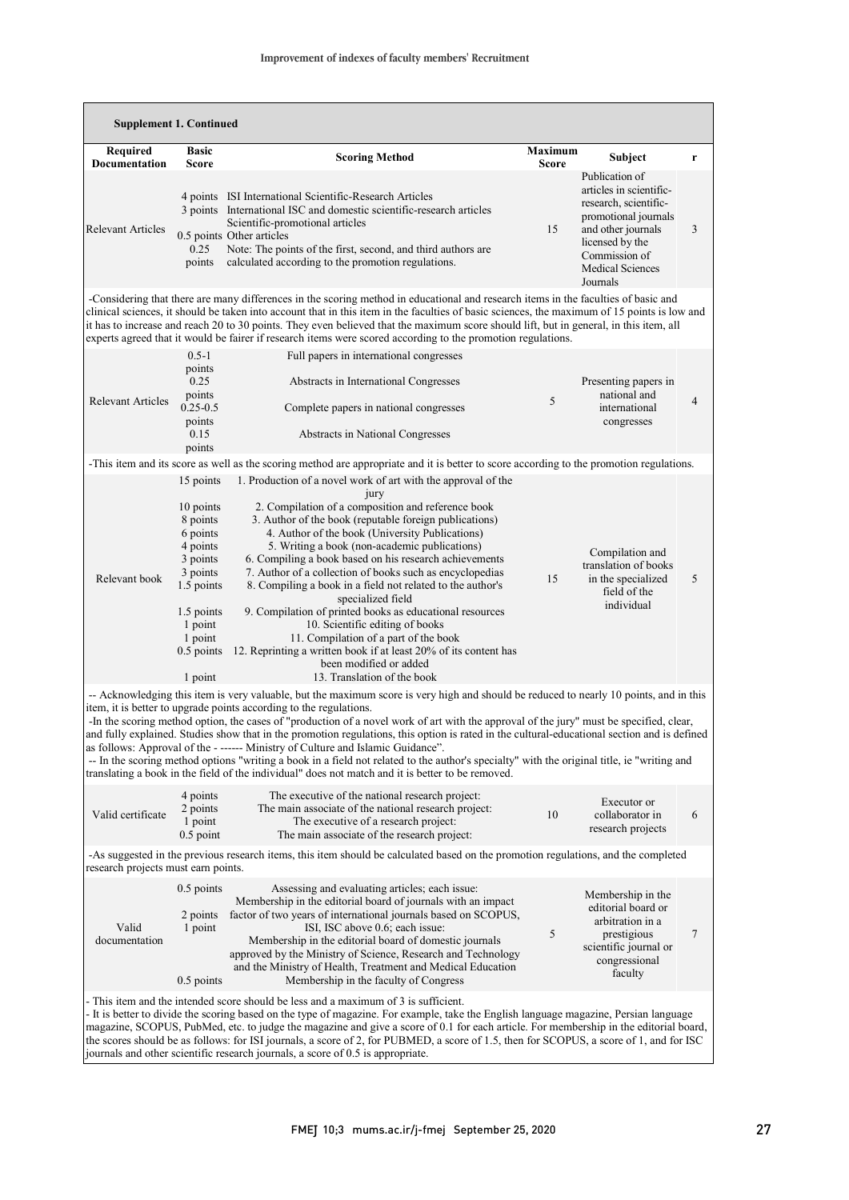| <b>Supplement 1. Continued</b>                                                                                                                                            |                                                                                                                                                               |                                                                                                                                                                                                                                                                                                                                                                                                                                                                                                                                                                                                                                                                                                                                                                                                                                                                                                   |                                |                                                                                                                                                                                             |                |  |  |
|---------------------------------------------------------------------------------------------------------------------------------------------------------------------------|---------------------------------------------------------------------------------------------------------------------------------------------------------------|---------------------------------------------------------------------------------------------------------------------------------------------------------------------------------------------------------------------------------------------------------------------------------------------------------------------------------------------------------------------------------------------------------------------------------------------------------------------------------------------------------------------------------------------------------------------------------------------------------------------------------------------------------------------------------------------------------------------------------------------------------------------------------------------------------------------------------------------------------------------------------------------------|--------------------------------|---------------------------------------------------------------------------------------------------------------------------------------------------------------------------------------------|----------------|--|--|
| <b>Required</b><br><b>Documentation</b>                                                                                                                                   | <b>Basic</b><br>Score                                                                                                                                         | <b>Scoring Method</b>                                                                                                                                                                                                                                                                                                                                                                                                                                                                                                                                                                                                                                                                                                                                                                                                                                                                             | <b>Maximum</b><br><b>Score</b> | Subject                                                                                                                                                                                     | r              |  |  |
| <b>Relevant Articles</b>                                                                                                                                                  | 0.25<br>points                                                                                                                                                | 4 points ISI International Scientific-Research Articles<br>3 points International ISC and domestic scientific-research articles<br>Scientific-promotional articles<br>0.5 points Other articles<br>Note: The points of the first, second, and third authors are<br>calculated according to the promotion regulations.                                                                                                                                                                                                                                                                                                                                                                                                                                                                                                                                                                             | 15                             | Publication of<br>articles in scientific-<br>research, scientific-<br>promotional journals<br>and other journals<br>licensed by the<br>Commission of<br><b>Medical Sciences</b><br>Journals | 3              |  |  |
|                                                                                                                                                                           |                                                                                                                                                               | -Considering that there are many differences in the scoring method in educational and research items in the faculties of basic and<br>clinical sciences, it should be taken into account that in this item in the faculties of basic sciences, the maximum of 15 points is low and<br>it has to increase and reach 20 to 30 points. They even believed that the maximum score should lift, but in general, in this item, all<br>experts agreed that it would be fairer if research items were scored according to the promotion regulations.                                                                                                                                                                                                                                                                                                                                                      |                                |                                                                                                                                                                                             |                |  |  |
| Relevant Articles                                                                                                                                                         | $0.5 - 1$<br>points<br>0.25<br>points<br>$0.25 - 0.5$<br>points<br>0.15<br>points                                                                             | Full papers in international congresses<br>Abstracts in International Congresses<br>Complete papers in national congresses<br>Abstracts in National Congresses                                                                                                                                                                                                                                                                                                                                                                                                                                                                                                                                                                                                                                                                                                                                    | 5                              | Presenting papers in<br>national and<br>international<br>congresses                                                                                                                         | $\overline{4}$ |  |  |
|                                                                                                                                                                           |                                                                                                                                                               | -This item and its score as well as the scoring method are appropriate and it is better to score according to the promotion regulations.                                                                                                                                                                                                                                                                                                                                                                                                                                                                                                                                                                                                                                                                                                                                                          |                                |                                                                                                                                                                                             |                |  |  |
| Relevant book                                                                                                                                                             | 15 points<br>10 points<br>8 points<br>6 points<br>4 points<br>3 points<br>3 points<br>1.5 points<br>1.5 points<br>1 point<br>1 point<br>0.5 points<br>1 point | 1. Production of a novel work of art with the approval of the<br>jury<br>2. Compilation of a composition and reference book<br>3. Author of the book (reputable foreign publications)<br>4. Author of the book (University Publications)<br>5. Writing a book (non-academic publications)<br>6. Compiling a book based on his research achievements<br>7. Author of a collection of books such as encyclopedias<br>8. Compiling a book in a field not related to the author's<br>specialized field<br>9. Compilation of printed books as educational resources<br>10. Scientific editing of books<br>11. Compilation of a part of the book<br>12. Reprinting a written book if at least 20% of its content has<br>been modified or added<br>13. Translation of the book                                                                                                                           | 15                             | Compilation and<br>translation of books<br>in the specialized<br>field of the<br>individual                                                                                                 | 5              |  |  |
|                                                                                                                                                                           | 4 points                                                                                                                                                      | -- Acknowledging this item is very valuable, but the maximum score is very high and should be reduced to nearly 10 points, and in this<br>item, it is better to upgrade points according to the regulations.<br>-In the scoring method option, the cases of "production of a novel work of art with the approval of the jury" must be specified, clear,<br>and fully explained. Studies show that in the promotion regulations, this option is rated in the cultural-educational section and is defined<br>as follows: Approval of the - ------ Ministry of Culture and Islamic Guidance".<br>-- In the scoring method options "writing a book in a field not related to the author's specialty" with the original title, ie "writing and<br>translating a book in the field of the individual" does not match and it is better to be removed.<br>The executive of the national research project: |                                | Executor or                                                                                                                                                                                 |                |  |  |
| Valid certificate                                                                                                                                                         | 2 points<br>1 point<br>$0.5$ point                                                                                                                            | The main associate of the national research project:<br>The executive of a research project:<br>The main associate of the research project:                                                                                                                                                                                                                                                                                                                                                                                                                                                                                                                                                                                                                                                                                                                                                       | 10                             | collaborator in<br>research projects                                                                                                                                                        | 6              |  |  |
| -As suggested in the previous research items, this item should be calculated based on the promotion regulations, and the completed<br>research projects must earn points. |                                                                                                                                                               |                                                                                                                                                                                                                                                                                                                                                                                                                                                                                                                                                                                                                                                                                                                                                                                                                                                                                                   |                                |                                                                                                                                                                                             |                |  |  |
| Valid<br>documentation                                                                                                                                                    | 0.5 points<br>2 points<br>1 point<br>0.5 points                                                                                                               | Assessing and evaluating articles; each issue:<br>Membership in the editorial board of journals with an impact<br>factor of two years of international journals based on SCOPUS,<br>ISI, ISC above 0.6; each issue:<br>Membership in the editorial board of domestic journals<br>approved by the Ministry of Science, Research and Technology<br>and the Ministry of Health, Treatment and Medical Education<br>Membership in the faculty of Congress                                                                                                                                                                                                                                                                                                                                                                                                                                             | 5                              | Membership in the<br>editorial board or<br>arbitration in a<br>prestigious<br>scientific journal or<br>congressional<br>faculty                                                             | 7              |  |  |
|                                                                                                                                                                           |                                                                                                                                                               | This item and the intended score should be less and a maximum of 3 is sufficient.<br>- It is better to divide the scoring based on the type of magazine. For example, take the English language magazine, Persian language<br>magazine, SCOPUS, PubMed, etc. to judge the magazine and give a score of 0.1 for each article. For membership in the editorial board,<br>the scores should be as follows: for ISI journals, a score of 2, for PUBMED, a score of 1.5, then for SCOPUS, a score of 1, and for ISC<br>journals and other scientific research journals, a score of 0.5 is appropriate.                                                                                                                                                                                                                                                                                                 |                                |                                                                                                                                                                                             |                |  |  |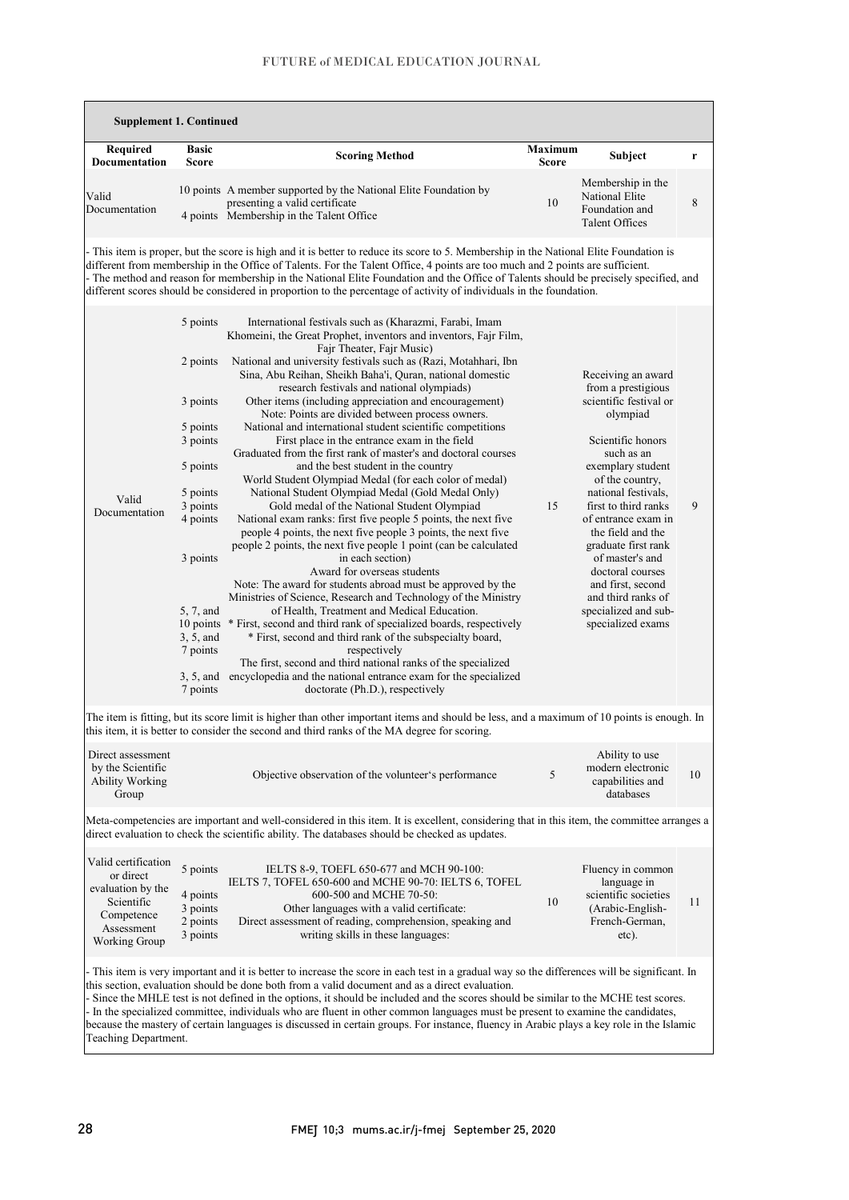# FUTURE of MEDICAL EDUCATION JOURNAL

| <b>Supplement 1. Continued</b>                                                                                                                                                                                                                                                                                                                                                                                                                                                                                                                                                                                                                                                                 |                                                                                                                                                                                                                                            |                                                                                                                                                                                                                                                                                                                                                                                                                                                                                                                                                                                                                                                                                                                                                                                                                                                                                                                                                                                                                                                                                                                                                                                                                                                                                                                                                                                                                                                                                                                                                                                                                          |                         |                                                                                                                                                                                                                                                                                                                                                                                                            |    |  |  |
|------------------------------------------------------------------------------------------------------------------------------------------------------------------------------------------------------------------------------------------------------------------------------------------------------------------------------------------------------------------------------------------------------------------------------------------------------------------------------------------------------------------------------------------------------------------------------------------------------------------------------------------------------------------------------------------------|--------------------------------------------------------------------------------------------------------------------------------------------------------------------------------------------------------------------------------------------|--------------------------------------------------------------------------------------------------------------------------------------------------------------------------------------------------------------------------------------------------------------------------------------------------------------------------------------------------------------------------------------------------------------------------------------------------------------------------------------------------------------------------------------------------------------------------------------------------------------------------------------------------------------------------------------------------------------------------------------------------------------------------------------------------------------------------------------------------------------------------------------------------------------------------------------------------------------------------------------------------------------------------------------------------------------------------------------------------------------------------------------------------------------------------------------------------------------------------------------------------------------------------------------------------------------------------------------------------------------------------------------------------------------------------------------------------------------------------------------------------------------------------------------------------------------------------------------------------------------------------|-------------------------|------------------------------------------------------------------------------------------------------------------------------------------------------------------------------------------------------------------------------------------------------------------------------------------------------------------------------------------------------------------------------------------------------------|----|--|--|
| Required<br><b>Documentation</b>                                                                                                                                                                                                                                                                                                                                                                                                                                                                                                                                                                                                                                                               | <b>Basic</b><br><b>Score</b>                                                                                                                                                                                                               | <b>Scoring Method</b>                                                                                                                                                                                                                                                                                                                                                                                                                                                                                                                                                                                                                                                                                                                                                                                                                                                                                                                                                                                                                                                                                                                                                                                                                                                                                                                                                                                                                                                                                                                                                                                                    | Maximum<br><b>Score</b> | <b>Subject</b>                                                                                                                                                                                                                                                                                                                                                                                             | r  |  |  |
| Valid<br>Documentation                                                                                                                                                                                                                                                                                                                                                                                                                                                                                                                                                                                                                                                                         |                                                                                                                                                                                                                                            | 10 points A member supported by the National Elite Foundation by<br>presenting a valid certificate<br>4 points Membership in the Talent Office                                                                                                                                                                                                                                                                                                                                                                                                                                                                                                                                                                                                                                                                                                                                                                                                                                                                                                                                                                                                                                                                                                                                                                                                                                                                                                                                                                                                                                                                           | 10                      | Membership in the<br>National Elite<br>Foundation and<br><b>Talent Offices</b>                                                                                                                                                                                                                                                                                                                             | 8  |  |  |
| - This item is proper, but the score is high and it is better to reduce its score to 5. Membership in the National Elite Foundation is<br>different from membership in the Office of Talents. For the Talent Office, 4 points are too much and 2 points are sufficient.<br>- The method and reason for membership in the National Elite Foundation and the Office of Talents should be precisely specified, and<br>different scores should be considered in proportion to the percentage of activity of individuals in the foundation.                                                                                                                                                         |                                                                                                                                                                                                                                            |                                                                                                                                                                                                                                                                                                                                                                                                                                                                                                                                                                                                                                                                                                                                                                                                                                                                                                                                                                                                                                                                                                                                                                                                                                                                                                                                                                                                                                                                                                                                                                                                                          |                         |                                                                                                                                                                                                                                                                                                                                                                                                            |    |  |  |
| Valid<br>Documentation                                                                                                                                                                                                                                                                                                                                                                                                                                                                                                                                                                                                                                                                         | 5 points<br>2 points<br>3 points<br>5 points<br>3 points<br>5 points<br>5 points<br>3 points<br>4 points<br>3 points<br>5, 7, and<br>10 points<br>3, 5, and<br>7 points<br>7 points                                                        | International festivals such as (Kharazmi, Farabi, Imam<br>Khomeini, the Great Prophet, inventors and inventors, Fajr Film,<br>Fajr Theater, Fajr Music)<br>National and university festivals such as (Razi, Motahhari, Ibn<br>Sina, Abu Reihan, Sheikh Baha'i, Quran, national domestic<br>research festivals and national olympiads)<br>Other items (including appreciation and encouragement)<br>Note: Points are divided between process owners.<br>National and international student scientific competitions<br>First place in the entrance exam in the field<br>Graduated from the first rank of master's and doctoral courses<br>and the best student in the country<br>World Student Olympiad Medal (for each color of medal)<br>National Student Olympiad Medal (Gold Medal Only)<br>Gold medal of the National Student Olympiad<br>National exam ranks: first five people 5 points, the next five<br>people 4 points, the next five people 3 points, the next five<br>people 2 points, the next five people 1 point (can be calculated<br>in each section)<br>Award for overseas students<br>Note: The award for students abroad must be approved by the<br>Ministries of Science, Research and Technology of the Ministry<br>of Health, Treatment and Medical Education.<br>* First, second and third rank of specialized boards, respectively<br>* First, second and third rank of the subspecialty board,<br>respectively<br>The first, second and third national ranks of the specialized<br>3, 5, and encyclopedia and the national entrance exam for the specialized<br>doctorate (Ph.D.), respectively | 15                      | Receiving an award<br>from a prestigious<br>scientific festival or<br>olympiad<br>Scientific honors<br>such as an<br>exemplary student<br>of the country,<br>national festivals.<br>first to third ranks<br>of entrance exam in<br>the field and the<br>graduate first rank<br>of master's and<br>doctoral courses<br>and first, second<br>and third ranks of<br>specialized and sub-<br>specialized exams | 9  |  |  |
|                                                                                                                                                                                                                                                                                                                                                                                                                                                                                                                                                                                                                                                                                                | The item is fitting, but its score limit is higher than other important items and should be less, and a maximum of 10 points is enough. In<br>this item, it is better to consider the second and third ranks of the MA degree for scoring. |                                                                                                                                                                                                                                                                                                                                                                                                                                                                                                                                                                                                                                                                                                                                                                                                                                                                                                                                                                                                                                                                                                                                                                                                                                                                                                                                                                                                                                                                                                                                                                                                                          |                         |                                                                                                                                                                                                                                                                                                                                                                                                            |    |  |  |
| Direct assessment<br>by the Scientific<br><b>Ability Working</b><br>Group                                                                                                                                                                                                                                                                                                                                                                                                                                                                                                                                                                                                                      |                                                                                                                                                                                                                                            | Objective observation of the volunteer's performance                                                                                                                                                                                                                                                                                                                                                                                                                                                                                                                                                                                                                                                                                                                                                                                                                                                                                                                                                                                                                                                                                                                                                                                                                                                                                                                                                                                                                                                                                                                                                                     | 5                       | Ability to use<br>modern electronic<br>capabilities and<br>databases                                                                                                                                                                                                                                                                                                                                       | 10 |  |  |
| Meta-competencies are important and well-considered in this item. It is excellent, considering that in this item, the committee arranges a<br>direct evaluation to check the scientific ability. The databases should be checked as updates.                                                                                                                                                                                                                                                                                                                                                                                                                                                   |                                                                                                                                                                                                                                            |                                                                                                                                                                                                                                                                                                                                                                                                                                                                                                                                                                                                                                                                                                                                                                                                                                                                                                                                                                                                                                                                                                                                                                                                                                                                                                                                                                                                                                                                                                                                                                                                                          |                         |                                                                                                                                                                                                                                                                                                                                                                                                            |    |  |  |
| Valid certification<br>or direct<br>evaluation by the<br>Scientific<br>Competence<br>Assessment<br>Working Group                                                                                                                                                                                                                                                                                                                                                                                                                                                                                                                                                                               | 5 points<br>4 points<br>3 points<br>2 points<br>3 points                                                                                                                                                                                   | IELTS 8-9, TOEFL 650-677 and MCH 90-100:<br>IELTS 7, TOFEL 650-600 and MCHE 90-70: IELTS 6, TOFEL<br>600-500 and MCHE 70-50:<br>Other languages with a valid certificate:<br>Direct assessment of reading, comprehension, speaking and<br>writing skills in these languages:                                                                                                                                                                                                                                                                                                                                                                                                                                                                                                                                                                                                                                                                                                                                                                                                                                                                                                                                                                                                                                                                                                                                                                                                                                                                                                                                             | 10                      | Fluency in common<br>language in<br>scientific societies<br>(Arabic-English-<br>French-German,<br>etc).                                                                                                                                                                                                                                                                                                    | 11 |  |  |
| - This item is very important and it is better to increase the score in each test in a gradual way so the differences will be significant. In<br>this section, evaluation should be done both from a valid document and as a direct evaluation.<br>- Since the MHLE test is not defined in the options, it should be included and the scores should be similar to the MCHE test scores.<br>- In the specialized committee, individuals who are fluent in other common languages must be present to examine the candidates,<br>because the mastery of certain languages is discussed in certain groups. For instance, fluency in Arabic plays a key role in the Islamic<br>Teaching Department. |                                                                                                                                                                                                                                            |                                                                                                                                                                                                                                                                                                                                                                                                                                                                                                                                                                                                                                                                                                                                                                                                                                                                                                                                                                                                                                                                                                                                                                                                                                                                                                                                                                                                                                                                                                                                                                                                                          |                         |                                                                                                                                                                                                                                                                                                                                                                                                            |    |  |  |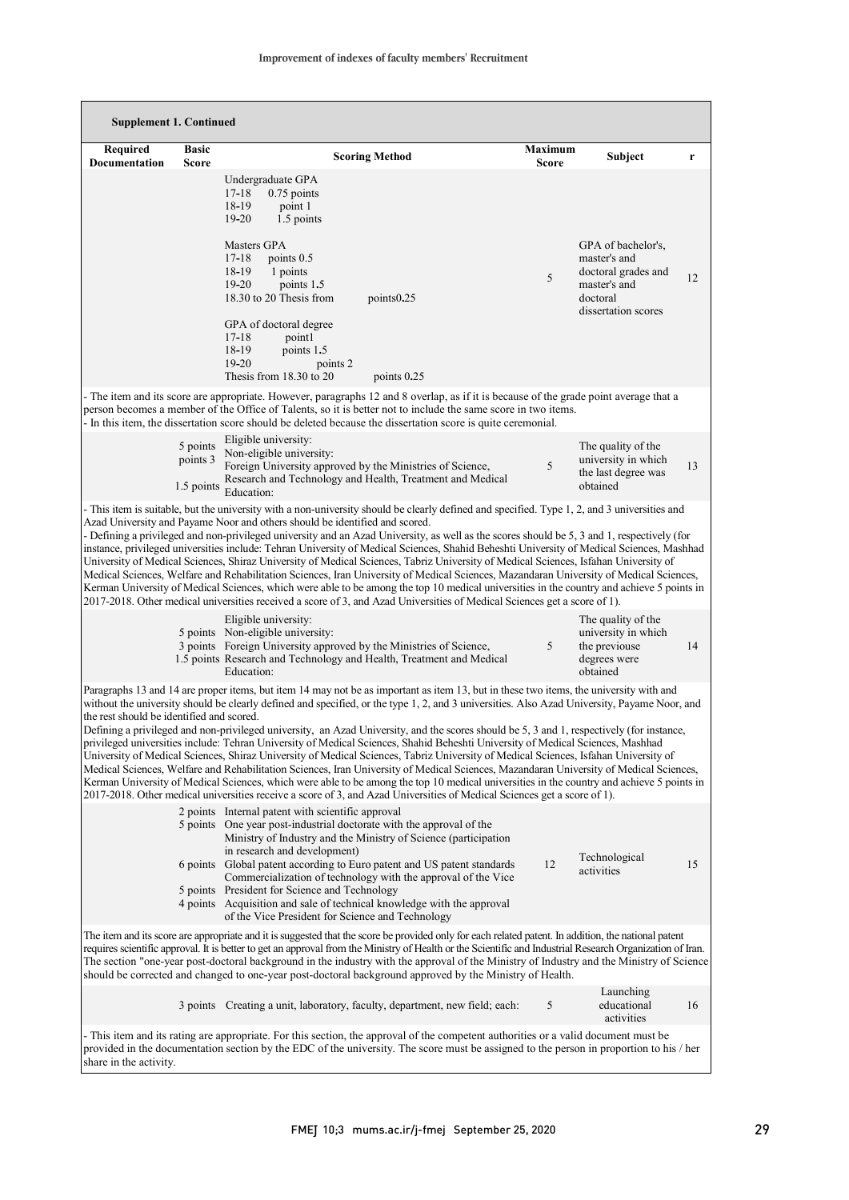| <b>Supplement 1. Continued</b>                                                                                                                                                                                                                                                                                                                                                                                                                                                                                                                                                                                                                                                                                                                                                                                                                                                                                                                                                                                                                                                                                                                                                |                                    |                                                                                                                                                                                                                                                                                                                                                                                                                                                                                                                                                         |                         |                                                                                                              |    |  |  |
|-------------------------------------------------------------------------------------------------------------------------------------------------------------------------------------------------------------------------------------------------------------------------------------------------------------------------------------------------------------------------------------------------------------------------------------------------------------------------------------------------------------------------------------------------------------------------------------------------------------------------------------------------------------------------------------------------------------------------------------------------------------------------------------------------------------------------------------------------------------------------------------------------------------------------------------------------------------------------------------------------------------------------------------------------------------------------------------------------------------------------------------------------------------------------------|------------------------------------|---------------------------------------------------------------------------------------------------------------------------------------------------------------------------------------------------------------------------------------------------------------------------------------------------------------------------------------------------------------------------------------------------------------------------------------------------------------------------------------------------------------------------------------------------------|-------------------------|--------------------------------------------------------------------------------------------------------------|----|--|--|
| <b>Required</b><br>Documentation                                                                                                                                                                                                                                                                                                                                                                                                                                                                                                                                                                                                                                                                                                                                                                                                                                                                                                                                                                                                                                                                                                                                              | <b>Basic</b><br>Score              | <b>Scoring Method</b>                                                                                                                                                                                                                                                                                                                                                                                                                                                                                                                                   | Maximum<br><b>Score</b> | Subject                                                                                                      | r  |  |  |
|                                                                                                                                                                                                                                                                                                                                                                                                                                                                                                                                                                                                                                                                                                                                                                                                                                                                                                                                                                                                                                                                                                                                                                               |                                    | Undergraduate GPA<br>$0.75$ points<br>17-18<br>18-19<br>point 1<br>$19 - 20$<br>1.5 points<br>Masters GPA<br>$17 - 18$<br>points 0.5<br>18-19<br>1 points<br>$19 - 20$<br>points 1.5<br>18.30 to 20 Thesis from<br>points 0.25<br>GPA of doctoral degree<br>$17 - 18$<br>pointl<br>18-19<br>points 1.5<br>$19 - 20$<br>points 2<br>Thesis from 18.30 to 20<br>points 0.25                                                                                                                                                                               | 5                       | GPA of bachelor's,<br>master's and<br>doctoral grades and<br>master's and<br>doctoral<br>dissertation scores | 12 |  |  |
|                                                                                                                                                                                                                                                                                                                                                                                                                                                                                                                                                                                                                                                                                                                                                                                                                                                                                                                                                                                                                                                                                                                                                                               |                                    | - The item and its score are appropriate. However, paragraphs 12 and 8 overlap, as if it is because of the grade point average that a<br>person becomes a member of the Office of Talents, so it is better not to include the same score in two items.<br>- In this item, the dissertation score should be deleted because the dissertation score is quite ceremonial.                                                                                                                                                                                  |                         |                                                                                                              |    |  |  |
|                                                                                                                                                                                                                                                                                                                                                                                                                                                                                                                                                                                                                                                                                                                                                                                                                                                                                                                                                                                                                                                                                                                                                                               | 5 points<br>points 3<br>1.5 points | Eligible university:<br>Non-eligible university:<br>Foreign University approved by the Ministries of Science,<br>Research and Technology and Health, Treatment and Medical<br>Education:                                                                                                                                                                                                                                                                                                                                                                | 5                       | The quality of the<br>university in which<br>the last degree was<br>obtained                                 | 13 |  |  |
| - This item is suitable, but the university with a non-university should be clearly defined and specified. Type 1, 2, and 3 universities and<br>Azad University and Payame Noor and others should be identified and scored.<br>- Defining a privileged and non-privileged university and an Azad University, as well as the scores should be 5, 3 and 1, respectively (for<br>instance, privileged universities include: Tehran University of Medical Sciences, Shahid Beheshti University of Medical Sciences, Mashhad<br>University of Medical Sciences, Shiraz University of Medical Sciences, Tabriz University of Medical Sciences, Isfahan University of<br>Medical Sciences, Welfare and Rehabilitation Sciences, Iran University of Medical Sciences, Mazandaran University of Medical Sciences,<br>Kerman University of Medical Sciences, which were able to be among the top 10 medical universities in the country and achieve 5 points in<br>2017-2018. Other medical universities received a score of 3, and Azad Universities of Medical Sciences get a score of 1).                                                                                            |                                    |                                                                                                                                                                                                                                                                                                                                                                                                                                                                                                                                                         |                         |                                                                                                              |    |  |  |
|                                                                                                                                                                                                                                                                                                                                                                                                                                                                                                                                                                                                                                                                                                                                                                                                                                                                                                                                                                                                                                                                                                                                                                               |                                    | Eligible university:<br>5 points Non-eligible university:<br>3 points Foreign University approved by the Ministries of Science,<br>1.5 points Research and Technology and Health, Treatment and Medical<br>Education:                                                                                                                                                                                                                                                                                                                                   | 5                       | The quality of the<br>university in which<br>the previouse<br>degrees were<br>obtained                       | 14 |  |  |
| Paragraphs 13 and 14 are proper items, but item 14 may not be as important as item 13, but in these two items, the university with and<br>without the university should be clearly defined and specified, or the type 1, 2, and 3 universities. Also Azad University, Payame Noor, and<br>the rest should be identified and scored.<br>Defining a privileged and non-privileged university, an Azad University, and the scores should be 5, 3 and 1, respectively (for instance,<br>privileged universities include: Tehran University of Medical Sciences, Shahid Beheshti University of Medical Sciences, Mashhad<br>University of Medical Sciences, Shiraz University of Medical Sciences, Tabriz University of Medical Sciences, Isfahan University of<br>Medical Sciences, Welfare and Rehabilitation Sciences, Iran University of Medical Sciences, Mazandaran University of Medical Sciences,<br>Kerman University of Medical Sciences, which were able to be among the top 10 medical universities in the country and achieve 5 points in<br>2017-2018. Other medical universities receive a score of 3, and Azad Universities of Medical Sciences get a score of 1). |                                    |                                                                                                                                                                                                                                                                                                                                                                                                                                                                                                                                                         |                         |                                                                                                              |    |  |  |
|                                                                                                                                                                                                                                                                                                                                                                                                                                                                                                                                                                                                                                                                                                                                                                                                                                                                                                                                                                                                                                                                                                                                                                               |                                    | 2 points Internal patent with scientific approval<br>5 points One year post-industrial doctorate with the approval of the<br>Ministry of Industry and the Ministry of Science (participation<br>in research and development)<br>6 points Global patent according to Euro patent and US patent standards<br>Commercialization of technology with the approval of the Vice<br>5 points President for Science and Technology<br>4 points Acquisition and sale of technical knowledge with the approval<br>of the Vice President for Science and Technology | 12                      | Technological<br>activities                                                                                  | 15 |  |  |
| The item and its score are appropriate and it is suggested that the score be provided only for each related patent. In addition, the national patent<br>requires scientific approval. It is better to get an approval from the Ministry of Health or the Scientific and Industrial Research Organization of Iran.<br>The section "one-year post-doctoral background in the industry with the approval of the Ministry of Industry and the Ministry of Science<br>should be corrected and changed to one-year post-doctoral background approved by the Ministry of Health.                                                                                                                                                                                                                                                                                                                                                                                                                                                                                                                                                                                                     |                                    |                                                                                                                                                                                                                                                                                                                                                                                                                                                                                                                                                         |                         |                                                                                                              |    |  |  |
|                                                                                                                                                                                                                                                                                                                                                                                                                                                                                                                                                                                                                                                                                                                                                                                                                                                                                                                                                                                                                                                                                                                                                                               |                                    | 3 points Creating a unit, laboratory, faculty, department, new field; each:                                                                                                                                                                                                                                                                                                                                                                                                                                                                             | 5                       | Launching<br>educational<br>activities                                                                       | 16 |  |  |
| - This item and its rating are appropriate. For this section, the approval of the competent authorities or a valid document must be<br>provided in the documentation section by the EDC of the university. The score must be assigned to the person in proportion to his / her<br>share in the activity.                                                                                                                                                                                                                                                                                                                                                                                                                                                                                                                                                                                                                                                                                                                                                                                                                                                                      |                                    |                                                                                                                                                                                                                                                                                                                                                                                                                                                                                                                                                         |                         |                                                                                                              |    |  |  |